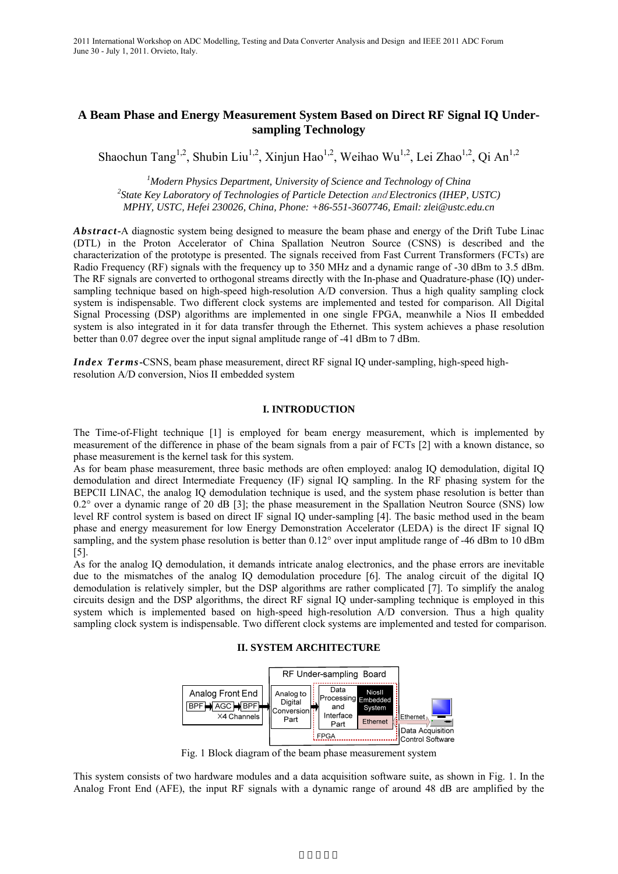# **A Beam Phase and Energy Measurement System Based on Direct RF Signal IQ Undersampling Technology**

Shaochun Tang<sup>1,2</sup>, Shubin Liu<sup>1,2</sup>, Xinjun Hao<sup>1,2</sup>, Weihao Wu<sup>1,2</sup>, Lei Zhao<sup>1,2</sup>, Qi An<sup>1,2</sup>

<sup>1</sup> Modern Physics Department, University of Science and Technology of China<sup>2</sup> State Key Laboratory of Technologies of Particle Detection and Electronics (IHEP *State Key Laboratory of Technologies of Particle Detection* and *Electronics (IHEP, USTC) MPHY, USTC, Hefei 230026, China, Phone: +86-551-3607746, Email: zlei@ustc.edu.cn* 

*Abstract***-**A diagnostic system being designed to measure the beam phase and energy of the Drift Tube Linac (DTL) in the Proton Accelerator of China Spallation Neutron Source (CSNS) is described and the characterization of the prototype is presented. The signals received from Fast Current Transformers (FCTs) are Radio Frequency (RF) signals with the frequency up to 350 MHz and a dynamic range of -30 dBm to 3.5 dBm. The RF signals are converted to orthogonal streams directly with the In-phase and Quadrature-phase (IQ) undersampling technique based on high-speed high-resolution A/D conversion. Thus a high quality sampling clock system is indispensable. Two different clock systems are implemented and tested for comparison. All Digital Signal Processing (DSP) algorithms are implemented in one single FPGA, meanwhile a Nios II embedded system is also integrated in it for data transfer through the Ethernet. This system achieves a phase resolution better than 0.07 degree over the input signal amplitude range of -41 dBm to 7 dBm.

*Index Terms***-**CSNS, beam phase measurement, direct RF signal IQ under-sampling, high-speed highresolution A/D conversion, Nios II embedded system

### **I. INTRODUCTION**

The Time-of-Flight technique [1] is employed for beam energy measurement, which is implemented by measurement of the difference in phase of the beam signals from a pair of FCTs [2] with a known distance, so phase measurement is the kernel task for this system.

As for beam phase measurement, three basic methods are often employed: analog IQ demodulation, digital IQ demodulation and direct Intermediate Frequency (IF) signal IQ sampling. In the RF phasing system for the BEPCII LINAC, the analog IQ demodulation technique is used, and the system phase resolution is better than 0.2° over a dynamic range of 20 dB [3]; the phase measurement in the Spallation Neutron Source (SNS) low level RF control system is based on direct IF signal IQ under-sampling [4]. The basic method used in the beam phase and energy measurement for low Energy Demonstration Accelerator (LEDA) is the direct IF signal IQ sampling, and the system phase resolution is better than 0.12° over input amplitude range of -46 dBm to 10 dBm [5].

As for the analog IQ demodulation, it demands intricate analog electronics, and the phase errors are inevitable due to the mismatches of the analog IQ demodulation procedure [6]. The analog circuit of the digital IQ demodulation is relatively simpler, but the DSP algorithms are rather complicated [7]. To simplify the analog circuits design and the DSP algorithms, the direct RF signal IQ under-sampling technique is employed in this system which is implemented based on high-speed high-resolution A/D conversion. Thus a high quality sampling clock system is indispensable. Two different clock systems are implemented and tested for comparison.

#### **II. SYSTEM ARCHITECTURE**



Fig. 1 Block diagram of the beam phase measurement system

This system consists of two hardware modules and a data acquisition software suite, as shown in Fig. 1. In the Analog Front End (AFE), the input RF signals with a dynamic range of around 48 dB are amplified by the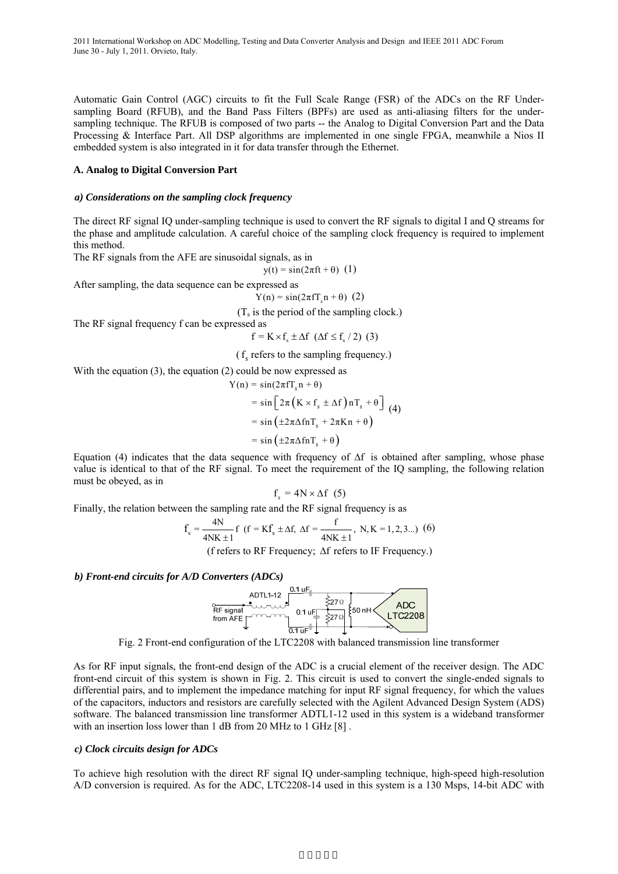Automatic Gain Control (AGC) circuits to fit the Full Scale Range (FSR) of the ADCs on the RF Undersampling Board (RFUB), and the Band Pass Filters (BPFs) are used as anti-aliasing filters for the undersampling technique. The RFUB is composed of two parts -- the Analog to Digital Conversion Part and the Data Processing & Interface Part. All DSP algorithms are implemented in one single FPGA, meanwhile a Nios II embedded system is also integrated in it for data transfer through the Ethernet.

### **A. Analog to Digital Conversion Part**

#### *a) Considerations on the sampling clock frequency*

The direct RF signal IQ under-sampling technique is used to convert the RF signals to digital I and Q streams for the phase and amplitude calculation. A careful choice of the sampling clock frequency is required to implement this method.

The RF signals from the AFE are sinusoidal signals, as in

 $y(t) = \sin(2\pi ft + \theta)$  (1)

After sampling, the data sequence can be expressed as

$$
Y(n) = \sin(2\pi f T_s n + \theta)
$$
 (2)

 $(T<sub>s</sub>$  is the period of the sampling clock.)

The RF signal frequency f can be expressed as

$$
f = K \times f_s \pm \Delta f \ (\Delta f \le f_s / 2) \ (3)
$$

(f*<sup>s</sup>* refers to the sampling frequency.)

With the equation (3), the equation (2) could be now expressed as

$$
Y(n) = \sin(2\pi f \cdot f_s n + \theta)
$$
  
=  $\sin \left[ 2\pi \left( K \times f_s \pm \Delta f \right) n \cdot f_s + \theta \right]$  (4)  
=  $\sin \left( \pm 2\pi \Delta f n \cdot f_s + 2\pi K n + \theta \right)$   
=  $\sin \left( \pm 2\pi \Delta f n \cdot f_s + \theta \right)$ 

Equation (4) indicates that the data sequence with frequency of  $\Delta f$  is obtained after sampling, whose phase value is identical to that of the RF signal. To meet the requirement of the IQ sampling, the following relation must be obeyed, as in

$$
\mathbf{f}_{s} = 4\mathbf{N} \times \Delta \mathbf{f} \quad (5)
$$

Finally, the relation between the sampling rate and the RF signal frequency is as

$$
f_s = \frac{4N}{4NK \pm 1} f
$$
  $(f = Kf_s \pm \Delta f, \Delta f = \frac{f}{4NK \pm 1}, N, K = 1, 2, 3...)$  (6)

(f refers to RF Frequency; Δf refers to IF Frequency.)

#### *b) Front-end circuits for A/D Converters (ADCs)*

ADTL1-12  $\frac{0.1 \text{ uF}}{\text{RF signal}}$ <br>
RF signal<br>
from AFE \[ \] \]  $0.1 \text{ uF}$ <br>  $\frac{1}{27 \Omega}$ **ADC**  $\{50 \text{ nH} \}$ **LTC2208** 

Fig. 2 Front-end configuration of the LTC2208 with balanced transmission line transformer

As for RF input signals, the front-end design of the ADC is a crucial element of the receiver design. The ADC front-end circuit of this system is shown in Fig. 2. This circuit is used to convert the single-ended signals to differential pairs, and to implement the impedance matching for input RF signal frequency, for which the values of the capacitors, inductors and resistors are carefully selected with the Agilent Advanced Design System (ADS) software. The balanced transmission line transformer ADTL1-12 used in this system is a wideband transformer with an insertion loss lower than 1 dB from 20 MHz to 1 GHz [8] .

#### *c) Clock circuits design for ADCs*

To achieve high resolution with the direct RF signal IQ under-sampling technique, high-speed high-resolution A/D conversion is required. As for the ADC, LTC2208-14 used in this system is a 130 Msps, 14-bit ADC with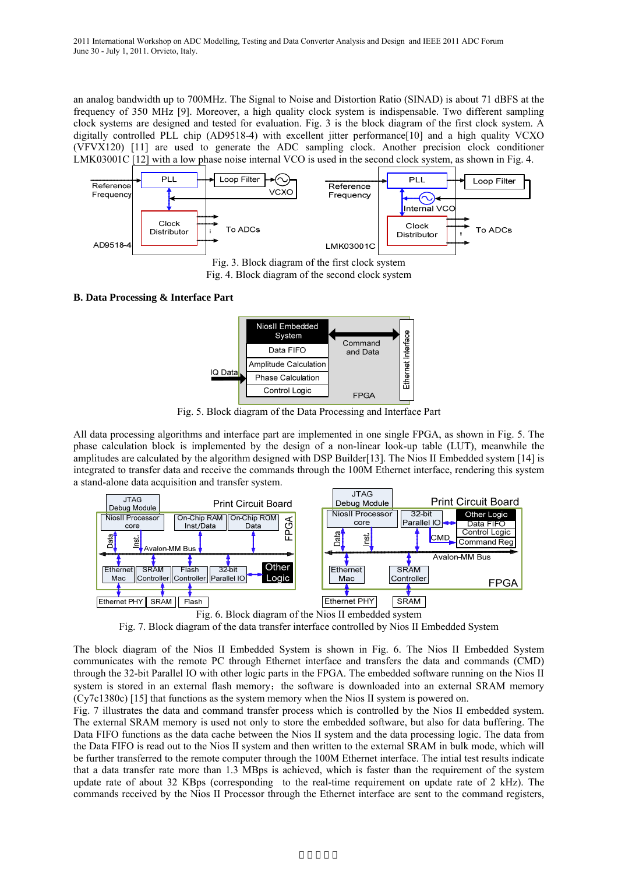an analog bandwidth up to 700MHz. The Signal to Noise and Distortion Ratio (SINAD) is about 71 dBFS at the frequency of 350 MHz [9]. Moreover, a high quality clock system is indispensable. Two different sampling clock systems are designed and tested for evaluation. Fig. 3 is the block diagram of the first clock system. A digitally controlled PLL chip (AD9518-4) with excellent jitter performance[10] and a high quality VCXO (VFVX120) [11] are used to generate the ADC sampling clock. Another precision clock conditioner LMK03001C [12] with a low phase noise internal VCO is used in the second clock system, as shown in Fig. 4.



Fig. 4. Block diagram of the second clock system

### **B. Data Processing & Interface Part**



Fig. 5. Block diagram of the Data Processing and Interface Part

All data processing algorithms and interface part are implemented in one single FPGA, as shown in Fig. 5. The phase calculation block is implemented by the design of a non-linear look-up table (LUT), meanwhile the amplitudes are calculated by the algorithm designed with DSP Builder[13]. The Nios II Embedded system [14] is integrated to transfer data and receive the commands through the 100M Ethernet interface, rendering this system a stand-alone data acquisition and transfer system.



Fig. 7. Block diagram of the data transfer interface controlled by Nios II Embedded System

The block diagram of the Nios II Embedded System is shown in Fig. 6. The Nios II Embedded System communicates with the remote PC through Ethernet interface and transfers the data and commands (CMD) through the 32-bit Parallel IO with other logic parts in the FPGA. The embedded software running on the Nios II system is stored in an external flash memory; the software is downloaded into an external SRAM memory (Cy7c1380c) [15] that functions as the system memory when the Nios II system is powered on.

Fig. 7 illustrates the data and command transfer process which is controlled by the Nios II embedded system. The external SRAM memory is used not only to store the embedded software, but also for data buffering. The Data FIFO functions as the data cache between the Nios II system and the data processing logic. The data from the Data FIFO is read out to the Nios II system and then written to the external SRAM in bulk mode, which will be further transferred to the remote computer through the 100M Ethernet interface. The intial test results indicate that a data transfer rate more than 1.3 MBps is achieved, which is faster than the requirement of the system update rate of about 32 KBps (corresponding to the real-time requirement on update rate of 2 kHz). The commands received by the Nios II Processor through the Ethernet interface are sent to the command registers,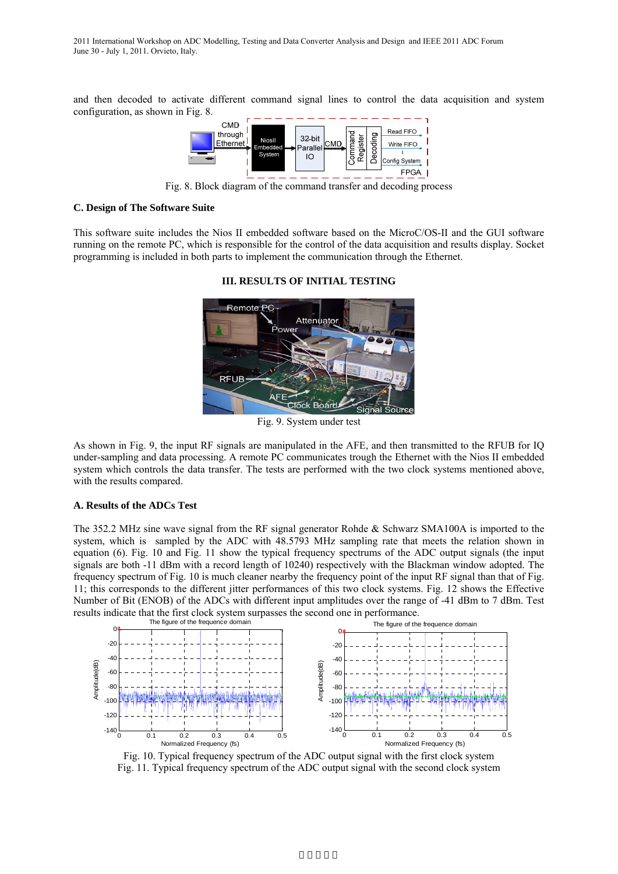and then decoded to activate different command signal lines to control the data acquisition and system configuration, as shown in Fig. 8.



Fig. 8. Block diagram of the command transfer and decoding process

#### **C. Design of The Software Suite**

This software suite includes the Nios II embedded software based on the MicroC/OS-II and the GUI software running on the remote PC, which is responsible for the control of the data acquisition and results display. Socket programming is included in both parts to implement the communication through the Ethernet.



### **III. RESULTS OF INITIAL TESTING**

Fig. 9. System under test

As shown in Fig. 9, the input RF signals are manipulated in the AFE, and then transmitted to the RFUB for IQ under-sampling and data processing. A remote PC communicates trough the Ethernet with the Nios II embedded system which controls the data transfer. The tests are performed with the two clock systems mentioned above, with the results compared.

## **A. Results of the ADCs Test**

The 352.2 MHz sine wave signal from the RF signal generator Rohde & Schwarz SMA100A is imported to the system, which is sampled by the ADC with 48.5793 MHz sampling rate that meets the relation shown in equation (6). Fig. 10 and Fig. 11 show the typical frequency spectrums of the ADC output signals (the input signals are both -11 dBm with a record length of 10240) respectively with the Blackman window adopted. The frequency spectrum of Fig. 10 is much cleaner nearby the frequency point of the input RF signal than that of Fig. 11; this corresponds to the different jitter performances of this two clock systems. Fig. 12 shows the Effective Number of Bit (ENOB) of the ADCs with different input amplitudes over the range of -41 dBm to 7 dBm. Test results indicate that the first clock system surpasses the second one in performance.



Fig. 10. Typical frequency spectrum of the ADC output signal with the first clock system Fig. 11. Typical frequency spectrum of the ADC output signal with the second clock system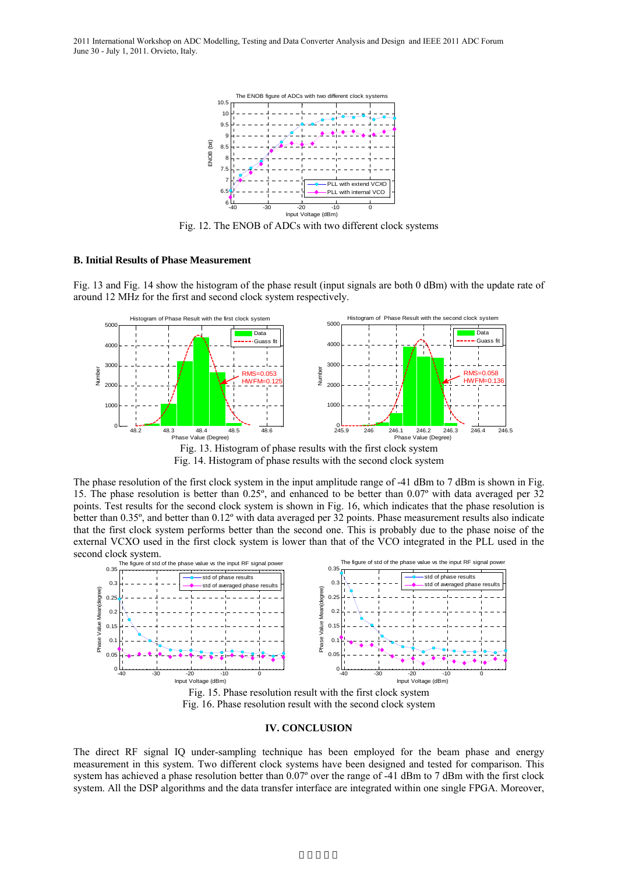2011 International Workshop on ADC Modelling, Testing and Data Converter Analysis and Design and IEEE 2011 ADC Forum June 30 - July 1, 2011. Orvieto, Italy.



Fig. 12. The ENOB of ADCs with two different clock systems

#### **B. Initial Results of Phase Measurement**

Fig. 13 and Fig. 14 show the histogram of the phase result (input signals are both 0 dBm) with the update rate of around 12 MHz for the first and second clock system respectively.



Fig. 14. Histogram of phase results with the second clock system

The phase resolution of the first clock system in the input amplitude range of -41 dBm to 7 dBm is shown in Fig. 15. The phase resolution is better than 0.25º, and enhanced to be better than 0.07º with data averaged per 32 points. Test results for the second clock system is shown in Fig. 16, which indicates that the phase resolution is better than 0.35º, and better than 0.12º with data averaged per 32 points. Phase measurement results also indicate that the first clock system performs better than the second one. This is probably due to the phase noise of the external VCXO used in the first clock system is lower than that of the VCO integrated in the PLL used in the second clock system.



Fig. 15. Phase resolution result with the first clock system Fig. 16. Phase resolution result with the second clock system

#### **IV. CONCLUSION**

The direct RF signal IQ under-sampling technique has been employed for the beam phase and energy measurement in this system. Two different clock systems have been designed and tested for comparison. This system has achieved a phase resolution better than 0.07° over the range of -41 dBm to 7 dBm with the first clock system. All the DSP algorithms and the data transfer interface are integrated within one single FPGA. Moreover,